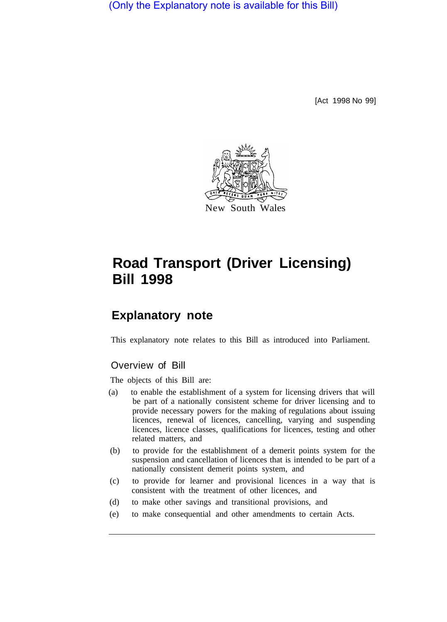(Only the Explanatory note is available for this Bill)

[Act 1998 No 99]



# **Road Transport (Driver Licensing) Bill 1998**

# **Explanatory note**

This explanatory note relates to this Bill as introduced into Parliament.

# Overview of Bill

The objects of this Bill are:

- (a) to enable the establishment of a system for licensing drivers that will be part of a nationally consistent scheme for driver licensing and to provide necessary powers for the making of regulations about issuing licences, renewal of licences, cancelling, varying and suspending licences, licence classes, qualifications for licences, testing and other related matters, and
- (b) to provide for the establishment of a demerit points system for the suspension and cancellation of licences that is intended to be part of a nationally consistent demerit points system, and
- (c) to provide for learner and provisional licences in a way that is consistent with the treatment of other licences, and
- (d) to make other savings and transitional provisions, and
- (e) to make consequential and other amendments to certain Acts.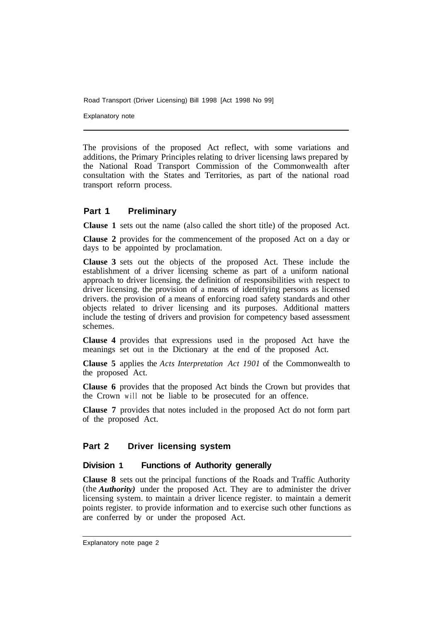Explanatory note

The provisions of the proposed Act reflect, with some variations and additions, the Primary Principles relating to driver licensing laws prepared by the National Road Transport Commission of the Commonwealth after consultation with the States and Territories, as part of the national road transport reforrn process.

### **Part 1 Preliminary**

**Clause 1** sets out the name (also called the short title) of the proposed Act.

**Clause 2** provides for the commencement of the proposed Act on a day or days to be appointed by proclamation.

**Clause 3** sets out the objects of the proposed Act. These include the establishment of a driver licensing scheme as part of a uniform national approach to driver licensing. the definition of responsibilities with respect to driver licensing. the provision of a means of identifying persons as licensed drivers. the provision of a means of enforcing road safety standards and other objects related to driver licensing and its purposes. Additional matters include the testing of drivers and provision for competency based assessment schemes.

**Clause 4** provides that expressions used in the proposed Act have the meanings set out in the Dictionary at the end of the proposed Act.

**Clause 5** applies the *Acts Interpretation Act 1901* of the Commonwealth to the proposed Act.

**Clause 6** provides that the proposed Act binds the Crown but provides that the Crown will not be liable to be prosecuted for an offence.

**Clause 7** provides that notes included in the proposed Act do not form part of the proposed Act.

#### **Part 2 Driver licensing system**

#### **Division 1 Functions of Authority generally**

**Clause 8** sets out the principal functions of the Roads and Traffic Authority (the *Authority)* under the proposed Act. They are to administer the driver licensing system. to maintain a driver licence register. to maintain a demerit points register. to provide information and to exercise such other functions as are conferred by or under the proposed Act.

Explanatory note page 2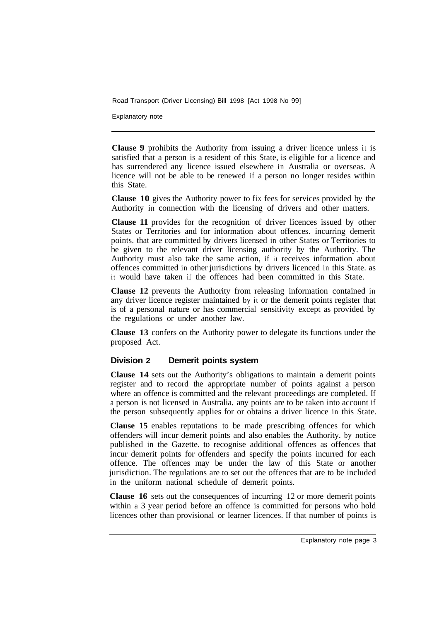Explanatory note

**Clause 9** prohibits the Authority from issuing a driver licence unless it is satisfied that a person is a resident of this State, is eligible for a licence and has surrendered any licence issued elsewhere in Australia or overseas. A licence will not be able to be renewed if a person no longer resides within this State.

**Clause 10** gives the Authority power to fix fees for services provided by the Authority in connection with the licensing of drivers and other matters.

**Clause 11** provides for the recognition of driver licences issued by other States or Territories and for information about offences. incurring demerit points. that are committed by drivers licensed in other States or Territories to be given to the relevant driver licensing authority by the Authority. The Authority must also take the same action, if it receives information about offences committed in other jurisdictions by drivers licenced in this State. as it would have taken if the offences had been committed in this State.

**Clause 12** prevents the Authority from releasing information contained in any driver licence register maintained by it or the demerit points register that is of a personal nature or has commercial sensitivity except as provided by the regulations or under another law.

**Clause 13** confers on the Authority power to delegate its functions under the proposed Act.

### **Division 2 Demerit points system**

**Clause 14** sets out the Authority's obligations to maintain a demerit points register and to record the appropriate number of points against a person where an offence is committed and the relevant proceedings are completed. If a person is not licensed in Australia. any points are to be taken into account if the person subsequently applies for or obtains a driver licence in this State.

**Clause 15** enables reputations to be made prescribing offences for which offenders will incur demerit points and also enables the Authority. by notice published in the Gazette. to recognise additional offences as offences that incur demerit points for offenders and specify the points incurred for each offence. The offences may be under the law of this State or another jurisdiction. The regulations are to set out the offences that are to be included in the uniform national schedule of demerit points.

**Clause 16** sets out the consequences of incurring 12 or more demerit points within a 3 year period before an offence is committed for persons who hold licences other than provisional or learner licences. If that number of points is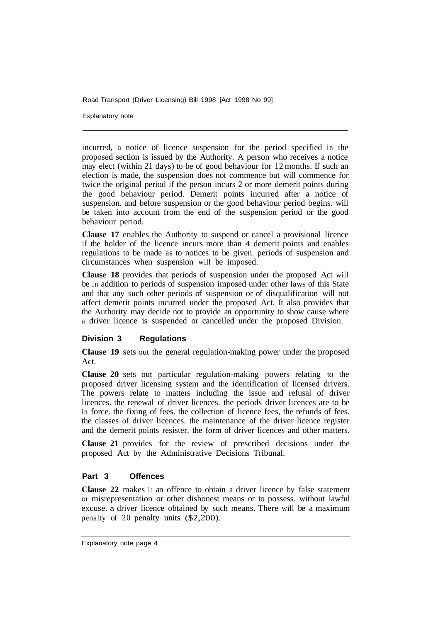Explanatory note

incurred, a notice of licence suspension for the period specified in the proposed section is issued by the Authority. A person who receives a notice may elect (within 21 days) to be of good behaviour for 12 months. If such an election is made, the suspension does not commence but will commence for twice the original period if the person incurs 2 or more demerit points during the good behaviour period. Demerit points incurred after a notice of suspension. and before suspension or the good behaviour period begins. will be taken into account from the end of the suspension period or the good behaviour period.

**Clause 17** enables the Authority to suspend or cancel a provisional licence if the holder of the licence incurs more than 4 demerit points and enables regulations to be made as to notices to be given. periods of suspension and circumstances when suspension will be imposed.

**Clause 18** provides that periods of suspension under the proposed Act will be in addition to periods of suspension imposed under other laws of this State and that any such other periods of suspension or of disqualification will not affect demerit points incurred under the proposed Act. It also provides that the Authority may decide not to provide an opportunity to show cause where a driver licence is suspended or cancelled under the proposed Division.

### **Division 3 Regulations**

**Clause 19** sets out the general regulation-making power under the proposed Act.

**Clause 20** sets out particular regulation-making powers relating to the proposed driver licensing system and the identification of licensed drivers. The powers relate to matters including the issue and refusal of driver licences. the renewal of driver licences. the periods driver licences are to be in force. the fixing of fees. the collection of licence fees, the refunds of fees. the classes of driver licences. the maintenance of the driver licence register and the demerit points resister. the form of driver licences and other matters.

**Clause 21** provides for the review of prescribed decisions under the proposed Act by the Administrative Decisions Tribunal.

### **Part 3 Offences**

**Clause 22** makes it an offence to obtain a driver licence by false statement or misrepresentation or other dishonest means or to possess. without lawful excuse. a driver licence obtained by such means. There will be a maximum penalty of 20 penalty units (\$2,200).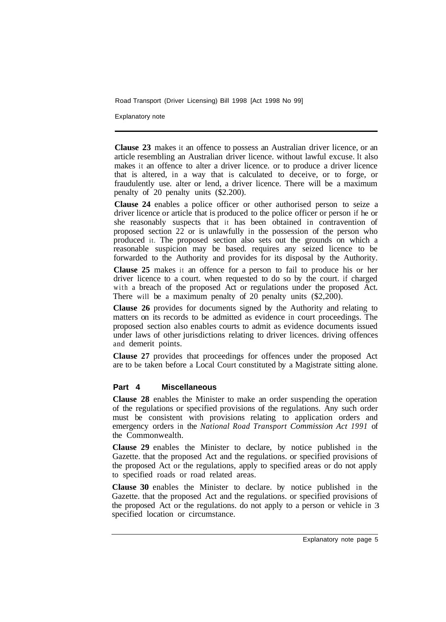Explanatory note

**Clause 23** makes it an offence to possess an Australian driver licence, or an article resembling an Australian driver licence. without lawful excuse. It also makes it an offence to alter a driver licence. or to produce a driver licence that is altered, in a way that is calculated to deceive, or to forge, or fraudulently use. alter or lend, a driver licence. There will be a maximum penalty of 20 penalty units (\$2.200).

**Clause 24** enables a police officer or other authorised person to seize a driver licence or article that is produced to the police officer or person if he or she reasonably suspects that it has been obtained in contravention of proposed section 22 or is unlawfully in the possession of the person who produced it. The proposed section also sets out the grounds on which a reasonable suspicion may be based. requires any seized licence to be forwarded to the Authority and provides for its disposal by the Authority.

**Clause 25** makes it an offence for a person to fail to produce his or her driver licence to a court. when requested to do so by the court. if charged with a breach of the proposed Act or regulations under the proposed Act. There will be a maximum penalty of 20 penalty units (\$2,200).

**Clause 26** provides for documents signed by the Authority and relating to matters on its records to be admitted as evidence in court proceedings. The proposed section also enables courts to admit as evidence documents issued under laws of other jurisdictions relating to driver licences. driving offences and demerit points.

**Clause 27** provides that proceedings for offences under the proposed Act are to be taken before a Local Court constituted by a Magistrate sitting alone.

## **Part 4 Miscellaneous**

**Clause 28** enables the Minister to make an order suspending the operation of the regulations or specified provisions of the regulations. Any such order must be consistent with provisions relating to application orders and emergency orders in the *National Road Transport Commission Act 1991* of the Commonwealth.

**Clause 29** enables the Minister to declare, by notice published in the Gazette. that the proposed Act and the regulations. or specified provisions of the proposed Act or the regulations, apply to specified areas or do not apply to specified roads or road related areas.

**Clause 30** enables the Minister to declare. by notice published in the Gazette. that the proposed Act and the regulations. or specified provisions of the proposed Act or the regulations. do not apply to a person or vehicle in 3 specified location or circumstance.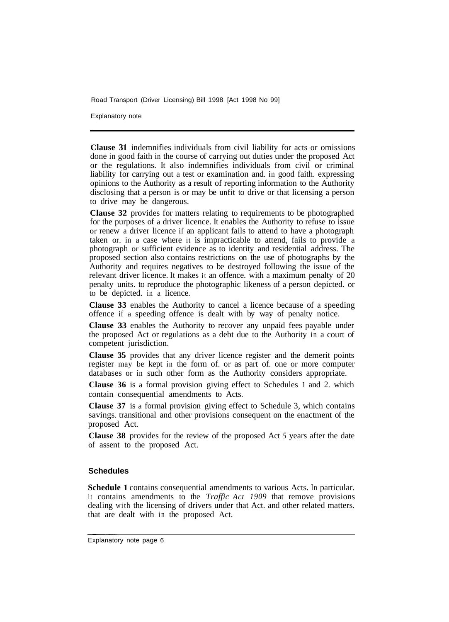Explanatory note

**Clause 31** indemnifies individuals from civil liability for acts or omissions done in good faith in the course of carrying out duties under the proposed Act or the regulations. It also indemnifies individuals from civil or criminal liability for carrying out a test or examination and. in good faith. expressing opinions to the Authority as a result of reporting information to the Authority disclosing that a person is or may be unfit to drive or that licensing a person to drive may be dangerous.

**Clause 32** provides for matters relating to requirements to be photographed for the purposes of a driver licence. It enables the Authority to refuse to issue or renew a driver licence if an applicant fails to attend to have a photograph taken or. in a case where it is impracticable to attend, fails to provide a photograph or sufficient evidence as to identity and residential address. The proposed section also contains restrictions on the use of photographs by the Authority and requires negatives to be destroyed following the issue of the relevant driver licence. It makes it an offence. with a maximum penalty of 20 penalty units. to reproduce the photographic likeness of a person depicted. or to be depicted. in a licence.

**Clause 33** enables the Authority to cancel a licence because of a speeding offence if a speeding offence is dealt with by way of penalty notice.

**Clause 33** enables the Authority to recover any unpaid fees payable under the proposed Act or regulations as a debt due to the Authority in a court of competent jurisdiction.

**Clause 35** provides that any driver licence register and the demerit points register may be kept in the form of. or as part of. one or more computer databases or in such other form as the Authority considers appropriate.

**Clause 36** is a formal provision giving effect to Schedules 1 and 2. which contain consequential amendments to Acts.

**Clause 37** is a formal provision giving effect to Schedule 3, which contains savings. transitional and other provisions consequent on the enactment of the proposed Act.

**Clause 38** provides for the review of the proposed Act *5* years after the date of assent to the proposed Act.

#### **Schedules**

**Schedule 1** contains consequential amendments to various Acts. In particular. it contains amendments to the *Traffic Act 1909* that remove provisions dealing with the licensing of drivers under that Act. and other related matters. that are dealt with in the proposed Act.

Explanatory note page 6